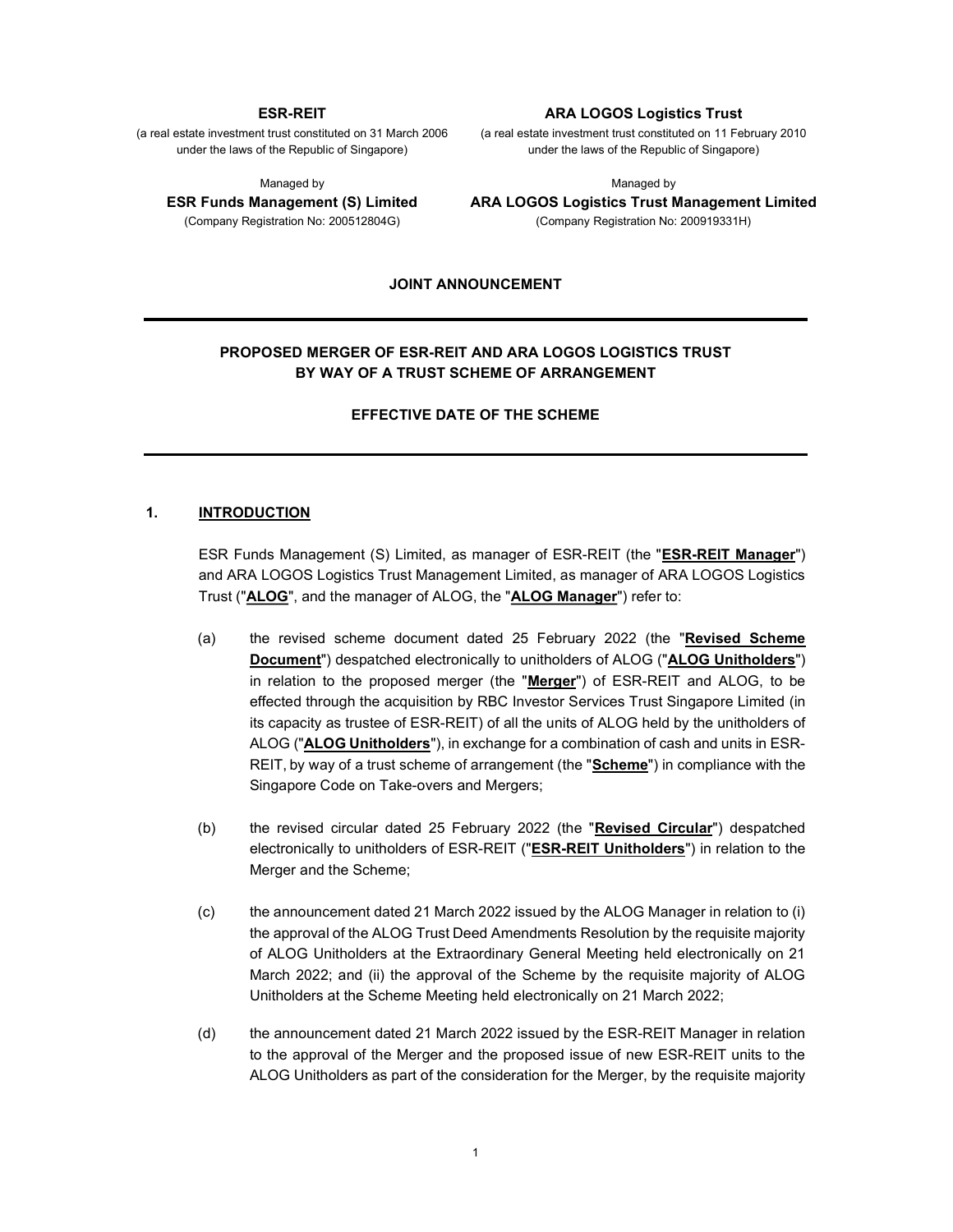#### ESR-REIT

(a real estate investment trust constituted on 31 March 2006 under the laws of the Republic of Singapore)

Managed by

ESR Funds Management (S) Limited (Company Registration No: 200512804G)

#### ARA LOGOS Logistics Trust

(a real estate investment trust constituted on 11 February 2010 under the laws of the Republic of Singapore)

Managed by

ARA LOGOS Logistics Trust Management Limited (Company Registration No: 200919331H)

#### JOINT ANNOUNCEMENT

# PROPOSED MERGER OF ESR-REIT AND ARA LOGOS LOGISTICS TRUST BY WAY OF A TRUST SCHEME OF ARRANGEMENT

EFFECTIVE DATE OF THE SCHEME

### 1. INTRODUCTION

ESR Funds Management (S) Limited, as manager of ESR-REIT (the "ESR-REIT Manager") and ARA LOGOS Logistics Trust Management Limited, as manager of ARA LOGOS Logistics Trust ("ALOG", and the manager of ALOG, the "ALOG Manager") refer to:

- (a) the revised scheme document dated 25 February 2022 (the "Revised Scheme Document") despatched electronically to unitholders of ALOG ("ALOG Unitholders") in relation to the proposed merger (the "Merger") of ESR-REIT and ALOG, to be effected through the acquisition by RBC Investor Services Trust Singapore Limited (in its capacity as trustee of ESR-REIT) of all the units of ALOG held by the unitholders of ALOG ("ALOG Unitholders"), in exchange for a combination of cash and units in ESR-REIT, by way of a trust scheme of arrangement (the "Scheme") in compliance with the Singapore Code on Take-overs and Mergers;
- (b) the revised circular dated 25 February 2022 (the "Revised Circular") despatched electronically to unitholders of ESR-REIT ("ESR-REIT Unitholders") in relation to the Merger and the Scheme;
- (c) the announcement dated 21 March 2022 issued by the ALOG Manager in relation to (i) the approval of the ALOG Trust Deed Amendments Resolution by the requisite majority of ALOG Unitholders at the Extraordinary General Meeting held electronically on 21 March 2022; and (ii) the approval of the Scheme by the requisite majority of ALOG Unitholders at the Scheme Meeting held electronically on 21 March 2022;
- (d) the announcement dated 21 March 2022 issued by the ESR-REIT Manager in relation to the approval of the Merger and the proposed issue of new ESR-REIT units to the ALOG Unitholders as part of the consideration for the Merger, by the requisite majority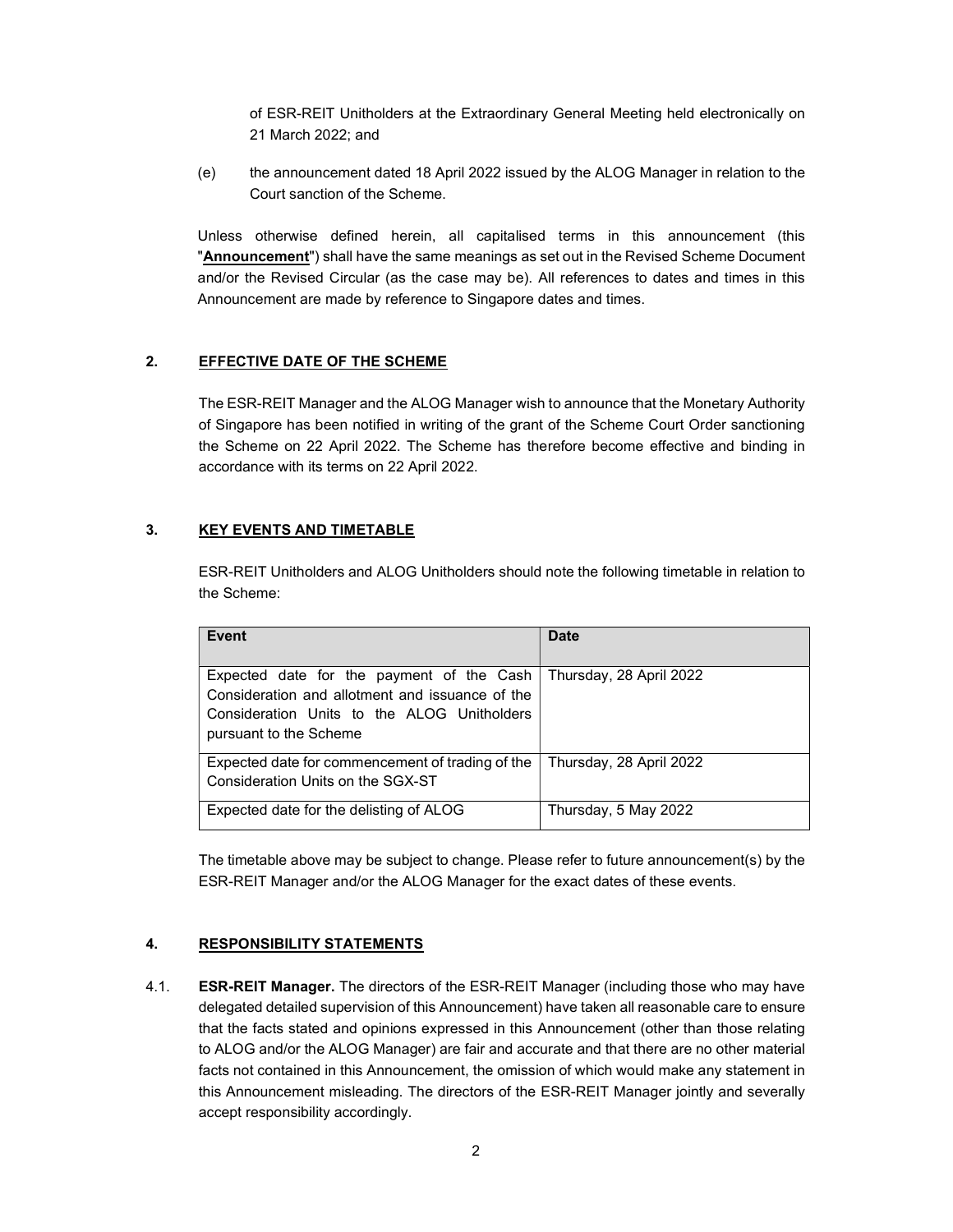of ESR-REIT Unitholders at the Extraordinary General Meeting held electronically on 21 March 2022; and

(e) the announcement dated 18 April 2022 issued by the ALOG Manager in relation to the Court sanction of the Scheme.

Unless otherwise defined herein, all capitalised terms in this announcement (this "Announcement") shall have the same meanings as set out in the Revised Scheme Document and/or the Revised Circular (as the case may be). All references to dates and times in this Announcement are made by reference to Singapore dates and times.

# 2. EFFECTIVE DATE OF THE SCHEME

The ESR-REIT Manager and the ALOG Manager wish to announce that the Monetary Authority of Singapore has been notified in writing of the grant of the Scheme Court Order sanctioning the Scheme on 22 April 2022. The Scheme has therefore become effective and binding in accordance with its terms on 22 April 2022.

# 3. KEY EVENTS AND TIMETABLE

ESR-REIT Unitholders and ALOG Unitholders should note the following timetable in relation to the Scheme:

| Event                                                                                                                                                                 | Date                    |
|-----------------------------------------------------------------------------------------------------------------------------------------------------------------------|-------------------------|
| Expected date for the payment of the Cash<br>Consideration and allotment and issuance of the<br>Consideration Units to the ALOG Unitholders<br>pursuant to the Scheme | Thursday, 28 April 2022 |
| Expected date for commencement of trading of the<br>Consideration Units on the SGX-ST                                                                                 | Thursday, 28 April 2022 |
| Expected date for the delisting of ALOG                                                                                                                               | Thursday, 5 May 2022    |

The timetable above may be subject to change. Please refer to future announcement(s) by the ESR-REIT Manager and/or the ALOG Manager for the exact dates of these events.

# 4. RESPONSIBILITY STATEMENTS

4.1. **ESR-REIT Manager.** The directors of the ESR-REIT Manager (including those who may have delegated detailed supervision of this Announcement) have taken all reasonable care to ensure that the facts stated and opinions expressed in this Announcement (other than those relating to ALOG and/or the ALOG Manager) are fair and accurate and that there are no other material facts not contained in this Announcement, the omission of which would make any statement in this Announcement misleading. The directors of the ESR-REIT Manager jointly and severally accept responsibility accordingly.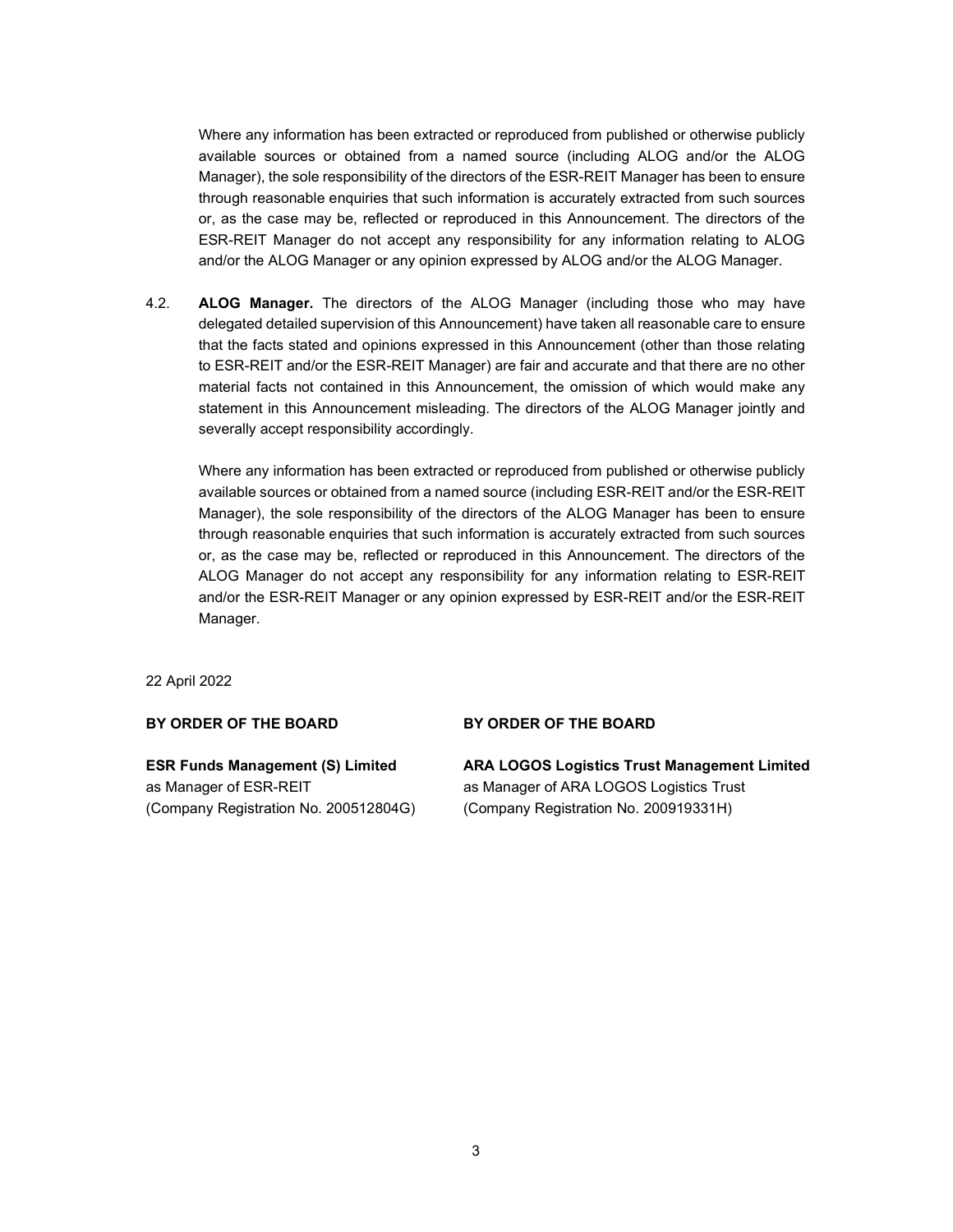Where any information has been extracted or reproduced from published or otherwise publicly available sources or obtained from a named source (including ALOG and/or the ALOG Manager), the sole responsibility of the directors of the ESR-REIT Manager has been to ensure through reasonable enquiries that such information is accurately extracted from such sources or, as the case may be, reflected or reproduced in this Announcement. The directors of the ESR-REIT Manager do not accept any responsibility for any information relating to ALOG and/or the ALOG Manager or any opinion expressed by ALOG and/or the ALOG Manager.

4.2. **ALOG Manager.** The directors of the ALOG Manager (including those who may have delegated detailed supervision of this Announcement) have taken all reasonable care to ensure that the facts stated and opinions expressed in this Announcement (other than those relating to ESR-REIT and/or the ESR-REIT Manager) are fair and accurate and that there are no other material facts not contained in this Announcement, the omission of which would make any statement in this Announcement misleading. The directors of the ALOG Manager jointly and severally accept responsibility accordingly.

Where any information has been extracted or reproduced from published or otherwise publicly available sources or obtained from a named source (including ESR-REIT and/or the ESR-REIT Manager), the sole responsibility of the directors of the ALOG Manager has been to ensure through reasonable enquiries that such information is accurately extracted from such sources or, as the case may be, reflected or reproduced in this Announcement. The directors of the ALOG Manager do not accept any responsibility for any information relating to ESR-REIT and/or the ESR-REIT Manager or any opinion expressed by ESR-REIT and/or the ESR-REIT Manager.

22 April 2022

## BY ORDER OF THE BOARD

# ESR Funds Management (S) Limited as Manager of ESR-REIT (Company Registration No. 200512804G)

### BY ORDER OF THE BOARD

ARA LOGOS Logistics Trust Management Limited as Manager of ARA LOGOS Logistics Trust (Company Registration No. 200919331H)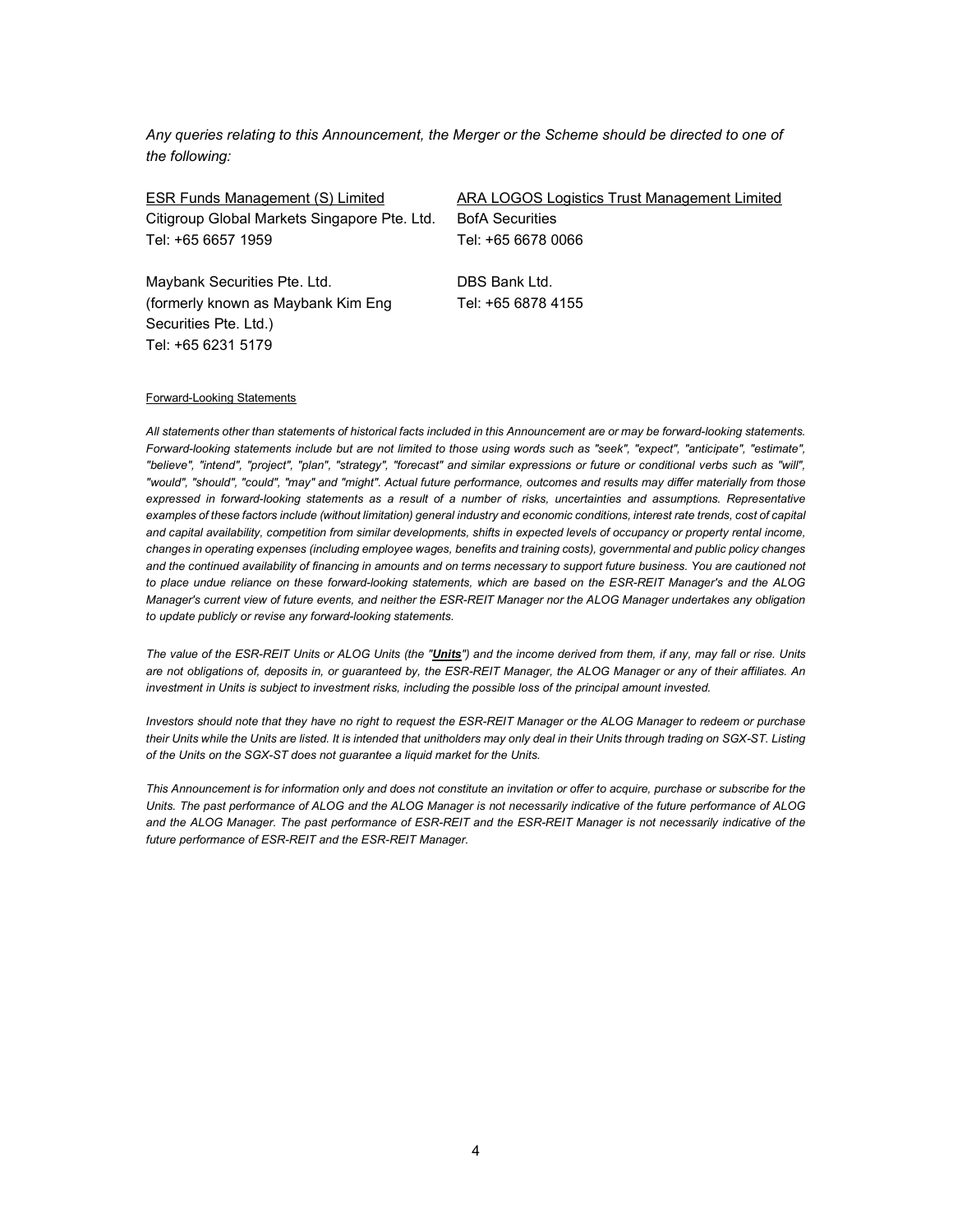Any queries relating to this Announcement, the Merger or the Scheme should be directed to one of the following:

| ESR Funds Management (S) Limited             | ARA LOGOS Logistics Trust Management Limited |
|----------------------------------------------|----------------------------------------------|
| Citigroup Global Markets Singapore Pte. Ltd. | <b>BofA Securities</b>                       |
| Tel: +65 6657 1959                           | Tel: +65 6678 0066                           |
| Maybank Securities Pte. Ltd.                 | DBS Bank Ltd.                                |
| (formerly known as Maybank Kim Eng           | Tel: +65 6878 4155                           |

#### Forward-Looking Statements

Securities Pte. Ltd.)

Tel: +65 6231 5179

All statements other than statements of historical facts included in this Announcement are or may be forward-looking statements. Forward-looking statements include but are not limited to those using words such as "seek", "expect", "anticipate", "estimate", "believe", "intend", "project", "plan", "strategy", "forecast" and similar expressions or future or conditional verbs such as "will", "would", "should", "could", "may" and "might". Actual future performance, outcomes and results may differ materially from those expressed in forward-looking statements as a result of a number of risks, uncertainties and assumptions. Representative examples of these factors include (without limitation) general industry and economic conditions, interest rate trends, cost of capital and capital availability, competition from similar developments, shifts in expected levels of occupancy or property rental income, changes in operating expenses (including employee wages, benefits and training costs), governmental and public policy changes and the continued availability of financing in amounts and on terms necessary to support future business. You are cautioned not to place undue reliance on these forward-looking statements, which are based on the ESR-REIT Manager's and the ALOG Manager's current view of future events, and neither the ESR-REIT Manager nor the ALOG Manager undertakes any obligation to update publicly or revise any forward-looking statements.

The value of the ESR-REIT Units or ALOG Units (the "Units") and the income derived from them, if any, may fall or rise. Units are not obligations of, deposits in, or guaranteed by, the ESR-REIT Manager, the ALOG Manager or any of their affiliates. An investment in Units is subject to investment risks, including the possible loss of the principal amount invested.

Investors should note that they have no right to request the ESR-REIT Manager or the ALOG Manager to redeem or purchase their Units while the Units are listed. It is intended that unitholders may only deal in their Units through trading on SGX-ST. Listing of the Units on the SGX-ST does not guarantee a liquid market for the Units.

This Announcement is for information only and does not constitute an invitation or offer to acquire, purchase or subscribe for the Units. The past performance of ALOG and the ALOG Manager is not necessarily indicative of the future performance of ALOG and the ALOG Manager. The past performance of ESR-REIT and the ESR-REIT Manager is not necessarily indicative of the future performance of ESR-REIT and the ESR-REIT Manager.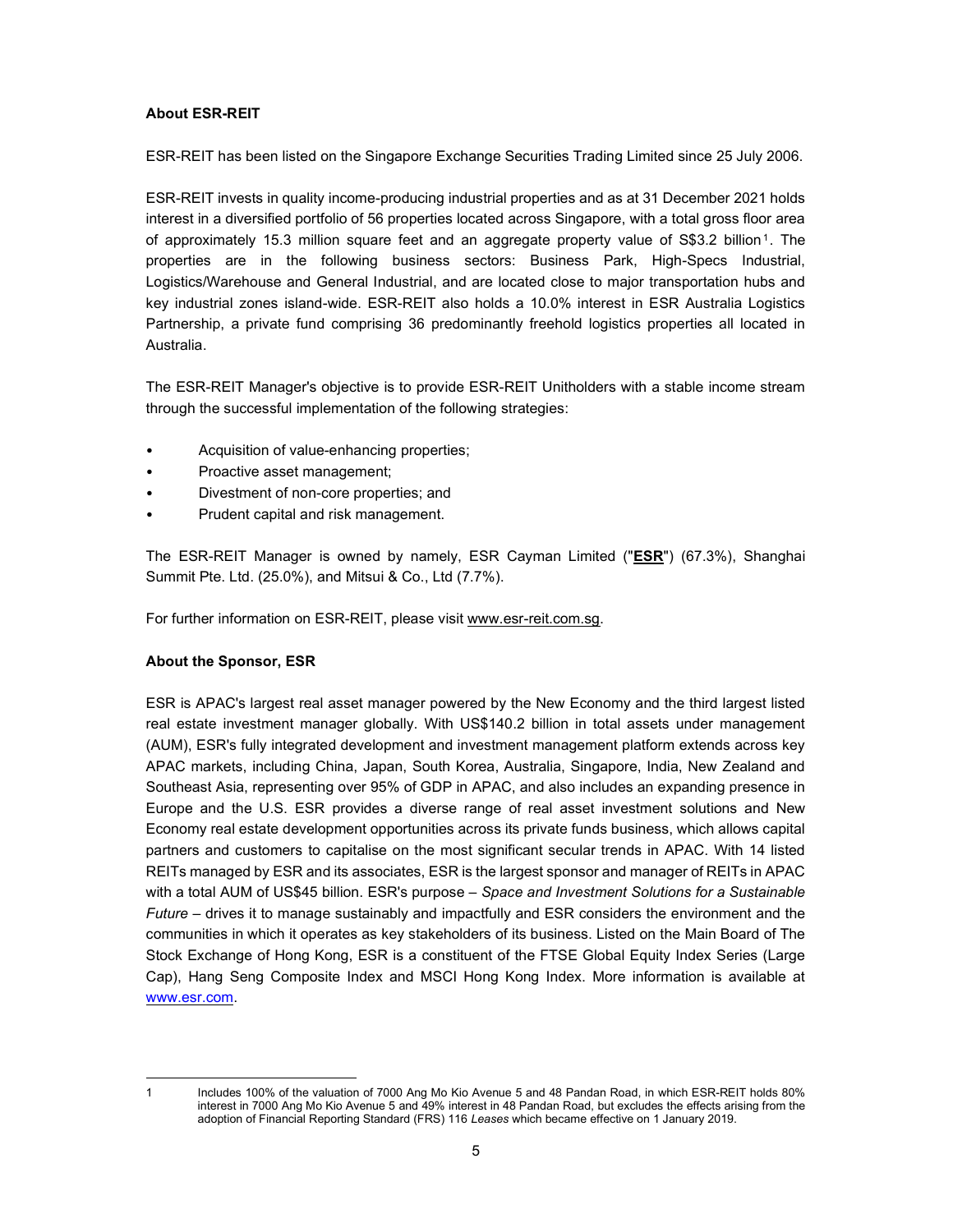## About ESR-REIT

ESR-REIT has been listed on the Singapore Exchange Securities Trading Limited since 25 July 2006.

ESR-REIT invests in quality income-producing industrial properties and as at 31 December 2021 holds interest in a diversified portfolio of 56 properties located across Singapore, with a total gross floor area of approximately 15.3 million square feet and an aggregate property value of S\$3.2 billion<sup>1</sup>. The properties are in the following business sectors: Business Park, High-Specs Industrial, Logistics/Warehouse and General Industrial, and are located close to major transportation hubs and key industrial zones island-wide. ESR-REIT also holds a 10.0% interest in ESR Australia Logistics Partnership, a private fund comprising 36 predominantly freehold logistics properties all located in Australia.

The ESR-REIT Manager's objective is to provide ESR-REIT Unitholders with a stable income stream through the successful implementation of the following strategies:

- Acquisition of value-enhancing properties;
- Proactive asset management;
- Divestment of non-core properties; and
- Prudent capital and risk management.

The ESR-REIT Manager is owned by namely, ESR Cayman Limited ("ESR") (67.3%), Shanghai Summit Pte. Ltd. (25.0%), and Mitsui & Co., Ltd (7.7%).

For further information on ESR-REIT, please visit www.esr-reit.com.sg.

## About the Sponsor, ESR

ESR is APAC's largest real asset manager powered by the New Economy and the third largest listed real estate investment manager globally. With US\$140.2 billion in total assets under management (AUM), ESR's fully integrated development and investment management platform extends across key APAC markets, including China, Japan, South Korea, Australia, Singapore, India, New Zealand and Southeast Asia, representing over 95% of GDP in APAC, and also includes an expanding presence in Europe and the U.S. ESR provides a diverse range of real asset investment solutions and New Economy real estate development opportunities across its private funds business, which allows capital partners and customers to capitalise on the most significant secular trends in APAC. With 14 listed REITs managed by ESR and its associates, ESR is the largest sponsor and manager of REITs in APAC with a total AUM of US\$45 billion. ESR's purpose – Space and Investment Solutions for a Sustainable Future – drives it to manage sustainably and impactfully and ESR considers the environment and the communities in which it operates as key stakeholders of its business. Listed on the Main Board of The Stock Exchange of Hong Kong, ESR is a constituent of the FTSE Global Equity Index Series (Large Cap), Hang Seng Composite Index and MSCI Hong Kong Index. More information is available at www.esr.com.

<sup>1</sup> Includes 100% of the valuation of 7000 Ang Mo Kio Avenue 5 and 48 Pandan Road, in which ESR-REIT holds 80% interest in 7000 Ang Mo Kio Avenue 5 and 49% interest in 48 Pandan Road, but excludes the effects arising from the adoption of Financial Reporting Standard (FRS) 116 Leases which became effective on 1 January 2019.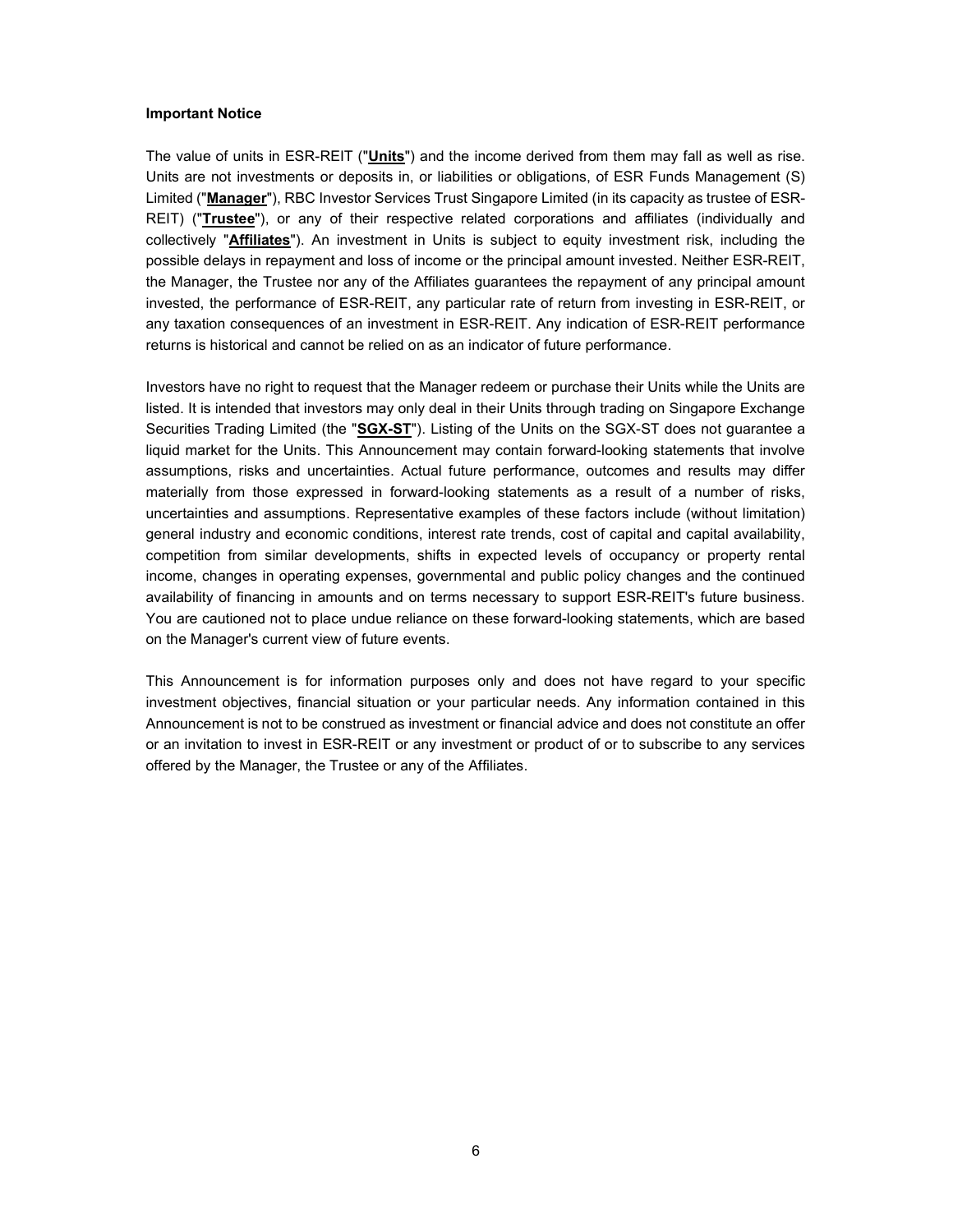#### Important Notice

The value of units in ESR-REIT ("Units") and the income derived from them may fall as well as rise. Units are not investments or deposits in, or liabilities or obligations, of ESR Funds Management (S) Limited ("Manager"), RBC Investor Services Trust Singapore Limited (in its capacity as trustee of ESR-REIT) ("Trustee"), or any of their respective related corporations and affiliates (individually and collectively "**Affiliates**"). An investment in Units is subject to equity investment risk, including the possible delays in repayment and loss of income or the principal amount invested. Neither ESR-REIT, the Manager, the Trustee nor any of the Affiliates guarantees the repayment of any principal amount invested, the performance of ESR-REIT, any particular rate of return from investing in ESR-REIT, or any taxation consequences of an investment in ESR-REIT. Any indication of ESR-REIT performance returns is historical and cannot be relied on as an indicator of future performance.

Investors have no right to request that the Manager redeem or purchase their Units while the Units are listed. It is intended that investors may only deal in their Units through trading on Singapore Exchange Securities Trading Limited (the "SGX-ST"). Listing of the Units on the SGX-ST does not guarantee a liquid market for the Units. This Announcement may contain forward-looking statements that involve assumptions, risks and uncertainties. Actual future performance, outcomes and results may differ materially from those expressed in forward-looking statements as a result of a number of risks, uncertainties and assumptions. Representative examples of these factors include (without limitation) general industry and economic conditions, interest rate trends, cost of capital and capital availability, competition from similar developments, shifts in expected levels of occupancy or property rental income, changes in operating expenses, governmental and public policy changes and the continued availability of financing in amounts and on terms necessary to support ESR-REIT's future business. You are cautioned not to place undue reliance on these forward-looking statements, which are based on the Manager's current view of future events.

This Announcement is for information purposes only and does not have regard to your specific investment objectives, financial situation or your particular needs. Any information contained in this Announcement is not to be construed as investment or financial advice and does not constitute an offer or an invitation to invest in ESR-REIT or any investment or product of or to subscribe to any services offered by the Manager, the Trustee or any of the Affiliates.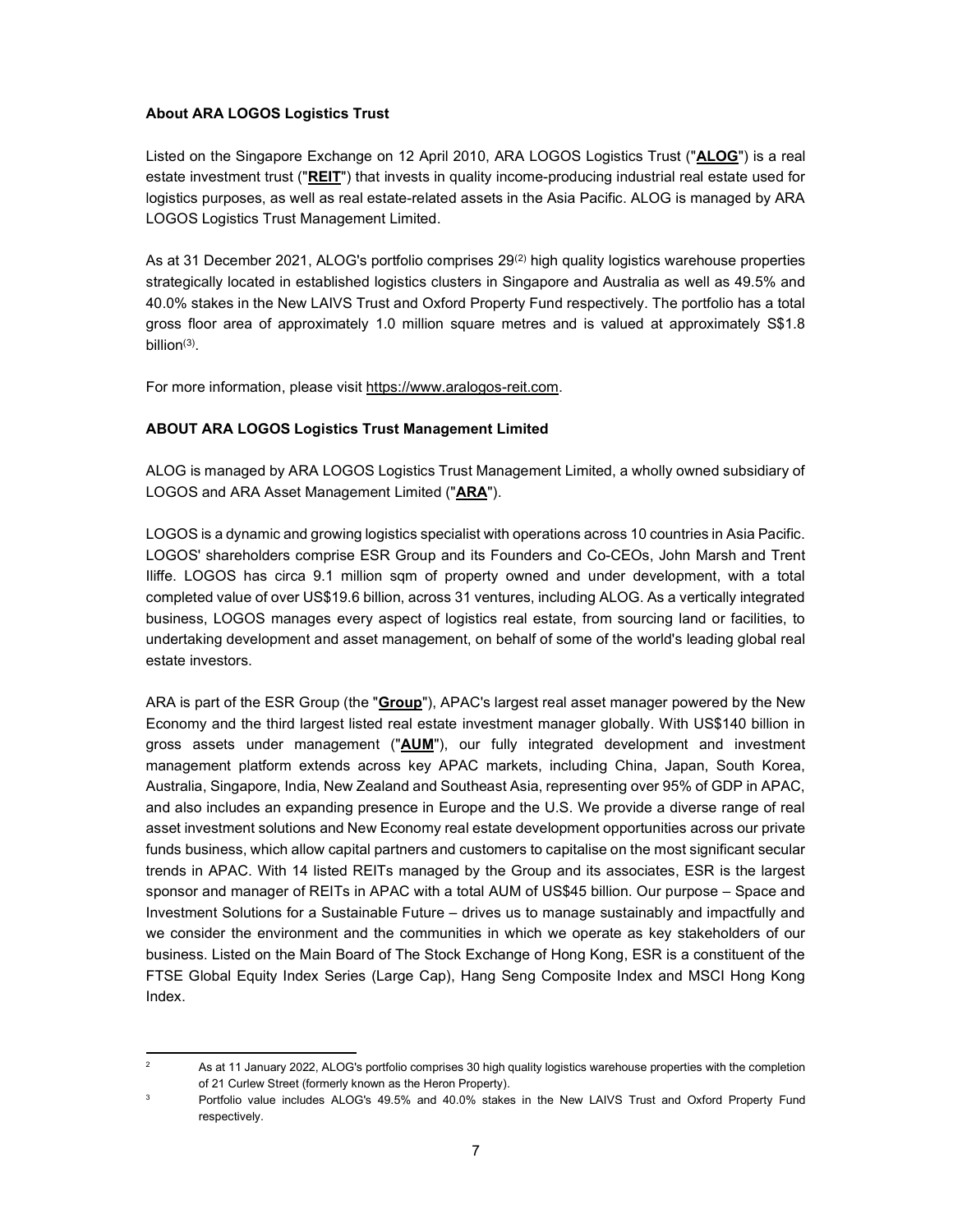## About ARA LOGOS Logistics Trust

Listed on the Singapore Exchange on 12 April 2010, ARA LOGOS Logistics Trust ("ALOG") is a real estate investment trust ("REIT") that invests in quality income-producing industrial real estate used for logistics purposes, as well as real estate-related assets in the Asia Pacific. ALOG is managed by ARA LOGOS Logistics Trust Management Limited.

As at 31 December 2021, ALOG's portfolio comprises 29<sup>(2)</sup> high quality logistics warehouse properties strategically located in established logistics clusters in Singapore and Australia as well as 49.5% and 40.0% stakes in the New LAIVS Trust and Oxford Property Fund respectively. The portfolio has a total gross floor area of approximately 1.0 million square metres and is valued at approximately S\$1.8 billion(3) .

For more information, please visit https://www.aralogos-reit.com.

# ABOUT ARA LOGOS Logistics Trust Management Limited

ALOG is managed by ARA LOGOS Logistics Trust Management Limited, a wholly owned subsidiary of LOGOS and ARA Asset Management Limited ("ARA").

LOGOS is a dynamic and growing logistics specialist with operations across 10 countries in Asia Pacific. LOGOS' shareholders comprise ESR Group and its Founders and Co-CEOs, John Marsh and Trent Iliffe. LOGOS has circa 9.1 million sqm of property owned and under development, with a total completed value of over US\$19.6 billion, across 31 ventures, including ALOG. As a vertically integrated business, LOGOS manages every aspect of logistics real estate, from sourcing land or facilities, to undertaking development and asset management, on behalf of some of the world's leading global real estate investors.

ARA is part of the ESR Group (the "Group"), APAC's largest real asset manager powered by the New Economy and the third largest listed real estate investment manager globally. With US\$140 billion in gross assets under management ("AUM"), our fully integrated development and investment management platform extends across key APAC markets, including China, Japan, South Korea, Australia, Singapore, India, New Zealand and Southeast Asia, representing over 95% of GDP in APAC, and also includes an expanding presence in Europe and the U.S. We provide a diverse range of real asset investment solutions and New Economy real estate development opportunities across our private funds business, which allow capital partners and customers to capitalise on the most significant secular trends in APAC. With 14 listed REITs managed by the Group and its associates, ESR is the largest sponsor and manager of REITs in APAC with a total AUM of US\$45 billion. Our purpose – Space and Investment Solutions for a Sustainable Future – drives us to manage sustainably and impactfully and we consider the environment and the communities in which we operate as key stakeholders of our business. Listed on the Main Board of The Stock Exchange of Hong Kong, ESR is a constituent of the FTSE Global Equity Index Series (Large Cap), Hang Seng Composite Index and MSCI Hong Kong Index.

<sup>2</sup> As at 11 January 2022, ALOG's portfolio comprises 30 high quality logistics warehouse properties with the completion of 21 Curlew Street (formerly known as the Heron Property).

<sup>3</sup> Portfolio value includes ALOG's 49.5% and 40.0% stakes in the New LAIVS Trust and Oxford Property Fund respectively.